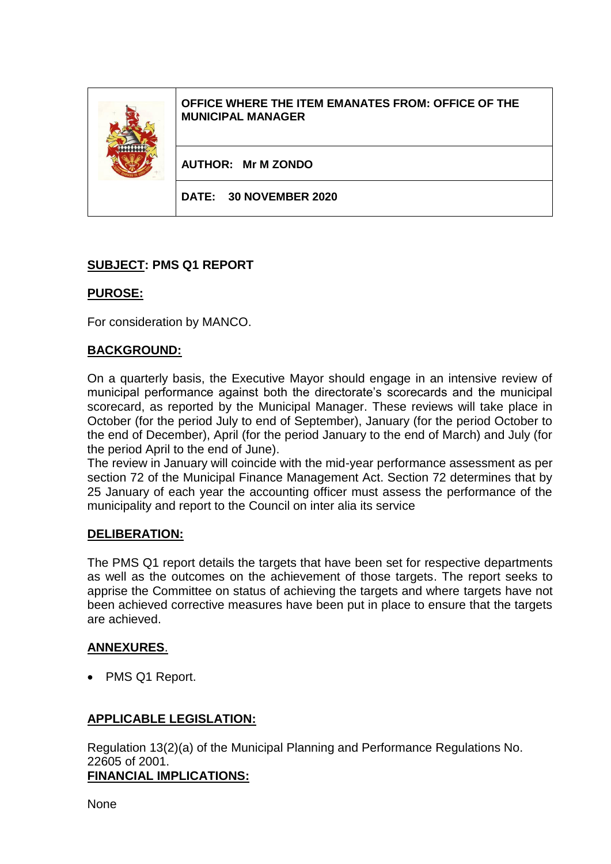**OFFICE WHERE THE ITEM EMANATES FROM: OFFICE OF THE MUNICIPAL MANAGER**

**AUTHOR: Mr M ZONDO**

**DATE: 30 NOVEMBER 2020**

## **SUBJECT: PMS Q1 REPORT**

### **PUROSE:**

For consideration by MANCO.

### **BACKGROUND:**

On a quarterly basis, the Executive Mayor should engage in an intensive review of municipal performance against both the directorate's scorecards and the municipal scorecard, as reported by the Municipal Manager. These reviews will take place in October (for the period July to end of September), January (for the period October to the end of December), April (for the period January to the end of March) and July (for the period April to the end of June).

The review in January will coincide with the mid-year performance assessment as per section 72 of the Municipal Finance Management Act. Section 72 determines that by 25 January of each year the accounting officer must assess the performance of the municipality and report to the Council on inter alia its service

#### **DELIBERATION:**

The PMS Q1 report details the targets that have been set for respective departments as well as the outcomes on the achievement of those targets. The report seeks to apprise the Committee on status of achieving the targets and where targets have not been achieved corrective measures have been put in place to ensure that the targets are achieved.

#### **ANNEXURES**.

• PMS Q1 Report.

## **APPLICABLE LEGISLATION:**

Regulation 13(2)(a) of the Municipal Planning and Performance Regulations No. 22605 of 2001. **FINANCIAL IMPLICATIONS:**

None